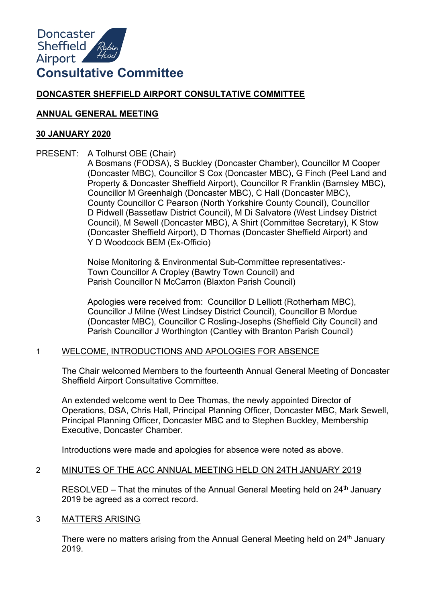

# **DONCASTER SHEFFIELD AIRPORT CONSULTATIVE COMMITTEE**

### **ANNUAL GENERAL MEETING**

### **30 JANUARY 2020**

PRESENT: A Tolhurst OBE (Chair)

A Bosmans (FODSA), S Buckley (Doncaster Chamber), Councillor M Cooper (Doncaster MBC), Councillor S Cox (Doncaster MBC), G Finch (Peel Land and Property & Doncaster Sheffield Airport), Councillor R Franklin (Barnsley MBC), Councillor M Greenhalgh (Doncaster MBC), C Hall (Doncaster MBC), County Councillor C Pearson (North Yorkshire County Council), Councillor D Pidwell (Bassetlaw District Council), M Di Salvatore (West Lindsey District Council), M Sewell (Doncaster MBC), A Shirt (Committee Secretary), K Stow (Doncaster Sheffield Airport), D Thomas (Doncaster Sheffield Airport) and Y D Woodcock BEM (Ex-Officio)

Noise Monitoring & Environmental Sub-Committee representatives:- Town Councillor A Cropley (Bawtry Town Council) and Parish Councillor N McCarron (Blaxton Parish Council)

Apologies were received from: Councillor D Lelliott (Rotherham MBC), Councillor J Milne (West Lindsey District Council), Councillor B Mordue (Doncaster MBC), Councillor C Rosling-Josephs (Sheffield City Council) and Parish Councillor J Worthington (Cantley with Branton Parish Council)

### 1 WELCOME, INTRODUCTIONS AND APOLOGIES FOR ABSENCE

The Chair welcomed Members to the fourteenth Annual General Meeting of Doncaster Sheffield Airport Consultative Committee.

An extended welcome went to Dee Thomas, the newly appointed Director of Operations, DSA, Chris Hall, Principal Planning Officer, Doncaster MBC, Mark Sewell, Principal Planning Officer, Doncaster MBC and to Stephen Buckley, Membership Executive, Doncaster Chamber.

Introductions were made and apologies for absence were noted as above.

# 2 MINUTES OF THE ACC ANNUAL MEETING HELD ON 24TH JANUARY 2019

RESOLVED – That the minutes of the Annual General Meeting held on 24<sup>th</sup> January 2019 be agreed as a correct record.

### 3 MATTERS ARISING

There were no matters arising from the Annual General Meeting held on 24<sup>th</sup> January 2019.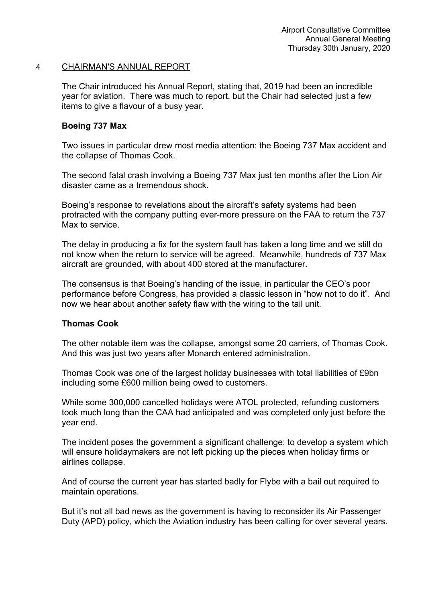### 4 CHAIRMAN'S ANNUAL REPORT

The Chair introduced his Annual Report, stating that, 2019 had been an incredible year for aviation. There was much to report, but the Chair had selected just a few items to give a flavour of a busy year.

## **Boeing 737 Max**

Two issues in particular drew most media attention: the Boeing 737 Max accident and the collapse of Thomas Cook.

The second fatal crash involving a Boeing 737 Max just ten months after the Lion Air disaster came as a tremendous shock.

Boeing's response to revelations about the aircraft's safety systems had been protracted with the company putting ever-more pressure on the FAA to return the 737 Max to service.

The delay in producing a fix for the system fault has taken a long time and we still do not know when the return to service will be agreed. Meanwhile, hundreds of 737 Max aircraft are grounded, with about 400 stored at the manufacturer.

The consensus is that Boeing's handing of the issue, in particular the CEO's poor performance before Congress, has provided a classic lesson in "how not to do it". And now we hear about another safety flaw with the wiring to the tail unit.

# **Thomas Cook**

The other notable item was the collapse, amongst some 20 carriers, of Thomas Cook. And this was just two years after Monarch entered administration.

Thomas Cook was one of the largest holiday businesses with total liabilities of £9bn including some £600 million being owed to customers.

While some 300,000 cancelled holidays were ATOL protected, refunding customers took much long than the CAA had anticipated and was completed only just before the year end.

The incident poses the government a significant challenge: to develop a system which will ensure holidaymakers are not left picking up the pieces when holiday firms or airlines collapse.

And of course the current year has started badly for Flybe with a bail out required to maintain operations.

But it's not all bad news as the government is having to reconsider its Air Passenger Duty (APD) policy, which the Aviation industry has been calling for over several years.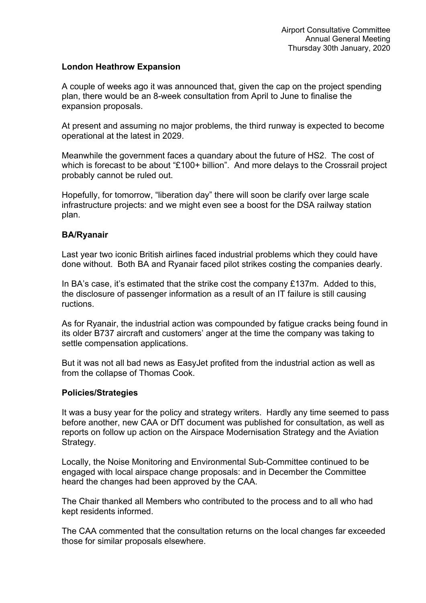## **London Heathrow Expansion**

A couple of weeks ago it was announced that, given the cap on the project spending plan, there would be an 8-week consultation from April to June to finalise the expansion proposals.

At present and assuming no major problems, the third runway is expected to become operational at the latest in 2029.

Meanwhile the government faces a quandary about the future of HS2. The cost of which is forecast to be about "£100+ billion". And more delays to the Crossrail project probably cannot be ruled out.

Hopefully, for tomorrow, "liberation day" there will soon be clarify over large scale infrastructure projects: and we might even see a boost for the DSA railway station plan.

## **BA/Ryanair**

Last year two iconic British airlines faced industrial problems which they could have done without. Both BA and Ryanair faced pilot strikes costing the companies dearly.

In BA's case, it's estimated that the strike cost the company £137m. Added to this, the disclosure of passenger information as a result of an IT failure is still causing ructions.

As for Ryanair, the industrial action was compounded by fatigue cracks being found in its older B737 aircraft and customers' anger at the time the company was taking to settle compensation applications.

But it was not all bad news as EasyJet profited from the industrial action as well as from the collapse of Thomas Cook.

### **Policies/Strategies**

It was a busy year for the policy and strategy writers. Hardly any time seemed to pass before another, new CAA or DfT document was published for consultation, as well as reports on follow up action on the Airspace Modernisation Strategy and the Aviation Strategy.

Locally, the Noise Monitoring and Environmental Sub-Committee continued to be engaged with local airspace change proposals: and in December the Committee heard the changes had been approved by the CAA.

The Chair thanked all Members who contributed to the process and to all who had kept residents informed.

The CAA commented that the consultation returns on the local changes far exceeded those for similar proposals elsewhere.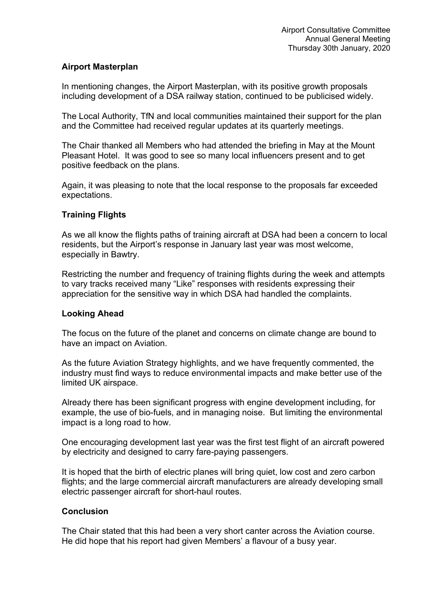# **Airport Masterplan**

In mentioning changes, the Airport Masterplan, with its positive growth proposals including development of a DSA railway station, continued to be publicised widely.

The Local Authority, TfN and local communities maintained their support for the plan and the Committee had received regular updates at its quarterly meetings.

The Chair thanked all Members who had attended the briefing in May at the Mount Pleasant Hotel. It was good to see so many local influencers present and to get positive feedback on the plans.

Again, it was pleasing to note that the local response to the proposals far exceeded expectations.

# **Training Flights**

As we all know the flights paths of training aircraft at DSA had been a concern to local residents, but the Airport's response in January last year was most welcome, especially in Bawtry.

Restricting the number and frequency of training flights during the week and attempts to vary tracks received many "Like" responses with residents expressing their appreciation for the sensitive way in which DSA had handled the complaints.

# **Looking Ahead**

The focus on the future of the planet and concerns on climate change are bound to have an impact on Aviation.

As the future Aviation Strategy highlights, and we have frequently commented, the industry must find ways to reduce environmental impacts and make better use of the limited UK airspace.

Already there has been significant progress with engine development including, for example, the use of bio-fuels, and in managing noise. But limiting the environmental impact is a long road to how.

One encouraging development last year was the first test flight of an aircraft powered by electricity and designed to carry fare-paying passengers.

It is hoped that the birth of electric planes will bring quiet, low cost and zero carbon flights; and the large commercial aircraft manufacturers are already developing small electric passenger aircraft for short-haul routes.

# **Conclusion**

The Chair stated that this had been a very short canter across the Aviation course. He did hope that his report had given Members' a flavour of a busy year.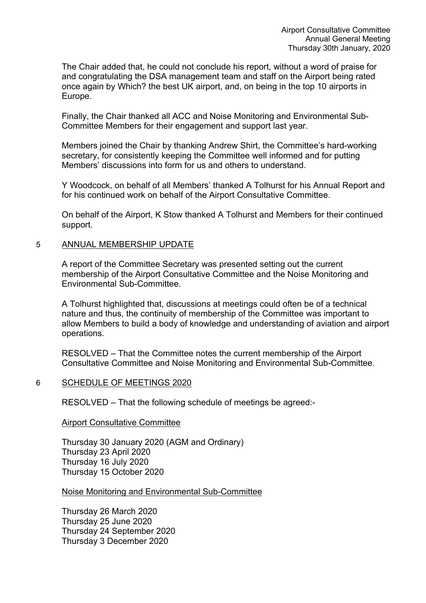The Chair added that, he could not conclude his report, without a word of praise for and congratulating the DSA management team and staff on the Airport being rated once again by Which? the best UK airport, and, on being in the top 10 airports in Europe.

Finally, the Chair thanked all ACC and Noise Monitoring and Environmental Sub-Committee Members for their engagement and support last year.

Members joined the Chair by thanking Andrew Shirt, the Committee's hard-working secretary, for consistently keeping the Committee well informed and for putting Members' discussions into form for us and others to understand.

Y Woodcock, on behalf of all Members' thanked A Tolhurst for his Annual Report and for his continued work on behalf of the Airport Consultative Committee.

On behalf of the Airport, K Stow thanked A Tolhurst and Members for their continued support.

### 5 ANNUAL MEMBERSHIP UPDATE

A report of the Committee Secretary was presented setting out the current membership of the Airport Consultative Committee and the Noise Monitoring and Environmental Sub-Committee.

A Tolhurst highlighted that, discussions at meetings could often be of a technical nature and thus, the continuity of membership of the Committee was important to allow Members to build a body of knowledge and understanding of aviation and airport operations.

RESOLVED – That the Committee notes the current membership of the Airport Consultative Committee and Noise Monitoring and Environmental Sub-Committee.

### 6 SCHEDULE OF MEETINGS 2020

RESOLVED – That the following schedule of meetings be agreed:-

### Airport Consultative Committee

Thursday 30 January 2020 (AGM and Ordinary) Thursday 23 April 2020 Thursday 16 July 2020 Thursday 15 October 2020

Noise Monitoring and Environmental Sub-Committee

Thursday 26 March 2020 Thursday 25 June 2020 Thursday 24 September 2020 Thursday 3 December 2020